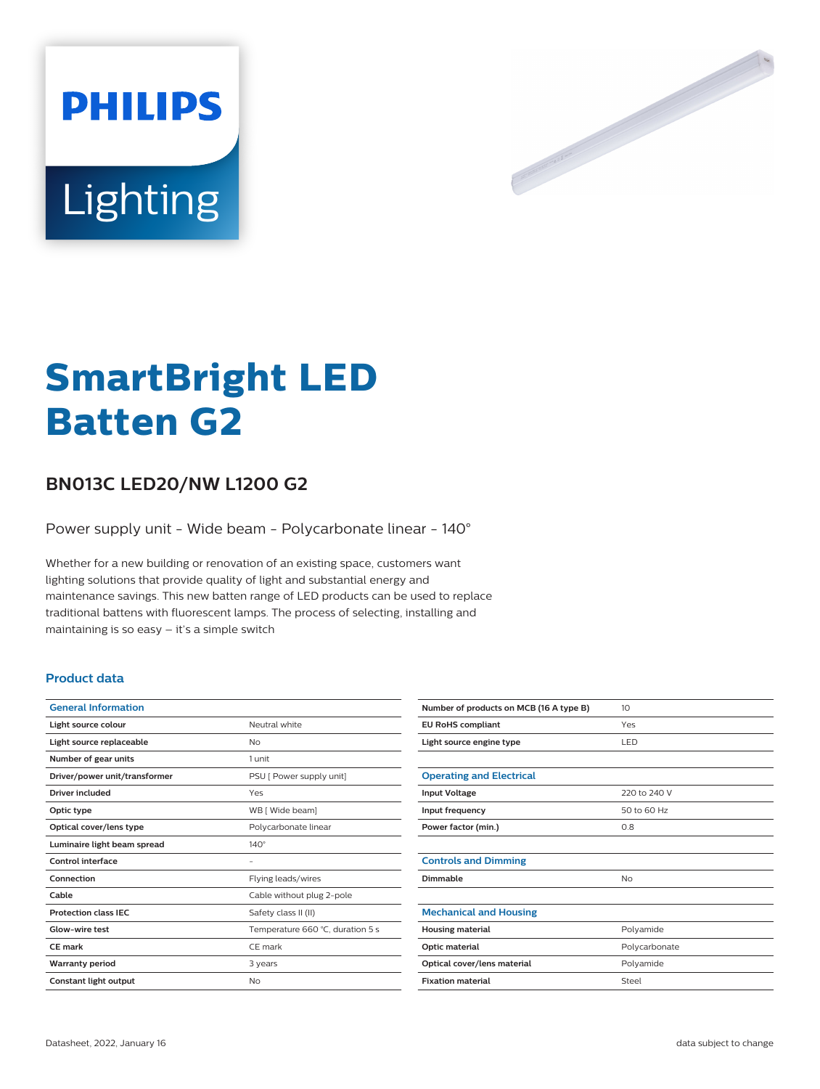



# **SmartBright LED Batten G2**

## **BN013C LED20/NW L1200 G2**

Power supply unit - Wide beam - Polycarbonate linear - 140°

Whether for a new building or renovation of an existing space, customers want lighting solutions that provide quality of light and substantial energy and maintenance savings. This new batten range of LED products can be used to replace traditional battens with fluorescent lamps. The process of selecting, installing and maintaining is so easy – it's a simple switch

## **Product data**

| <b>General Information</b>    |                                  |
|-------------------------------|----------------------------------|
| Light source colour           | Neutral white                    |
| Light source replaceable      | No                               |
| Number of gear units          | 1 unit                           |
| Driver/power unit/transformer | PSU [ Power supply unit]         |
| Driver included               | Yes                              |
| Optic type                    | WB [ Wide beam]                  |
| Optical cover/lens type       | Polycarbonate linear             |
| Luminaire light beam spread   | $140^\circ$                      |
| Control interface             | -                                |
| Connection                    | Flying leads/wires               |
| Cable                         | Cable without plug 2-pole        |
| <b>Protection class IEC</b>   | Safety class II (II)             |
| Glow-wire test                | Temperature 660 °C, duration 5 s |
| <b>CE</b> mark                | CE mark                          |
| <b>Warranty period</b>        | 3 years                          |
| Constant light output         | No                               |

| Number of products on MCB (16 A type B) | 10 <sup>2</sup> |
|-----------------------------------------|-----------------|
| <b>EU RoHS compliant</b>                | Yes             |
| Light source engine type                | <b>LED</b>      |
|                                         |                 |
| <b>Operating and Electrical</b>         |                 |
| <b>Input Voltage</b>                    | 220 to 240 V    |
| Input frequency                         | 50 to 60 Hz     |
| Power factor (min.)                     | 0.8             |
|                                         |                 |
| <b>Controls and Dimming</b>             |                 |
| Dimmable                                | No              |
|                                         |                 |
| <b>Mechanical and Housing</b>           |                 |
| <b>Housing material</b>                 | Polyamide       |
| Optic material                          | Polycarbonate   |
| Optical cover/lens material             | Polyamide       |
| <b>Fixation material</b>                | Steel           |
|                                         |                 |